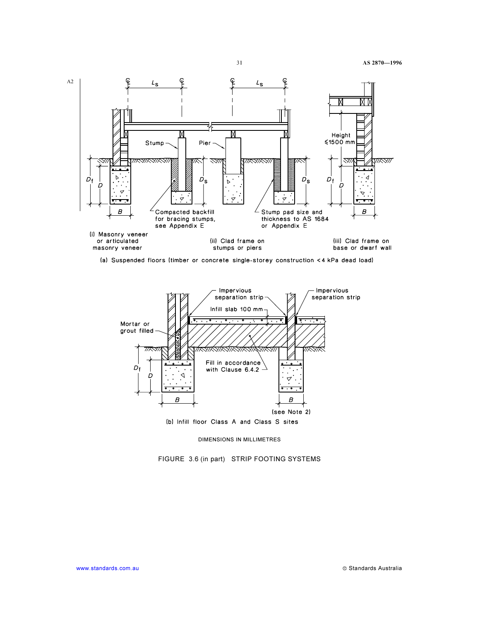

(a) Suspended floors (timber or concrete single-storey construction <4 kPa dead load)



DIMENSIONS IN MILLIMETRES

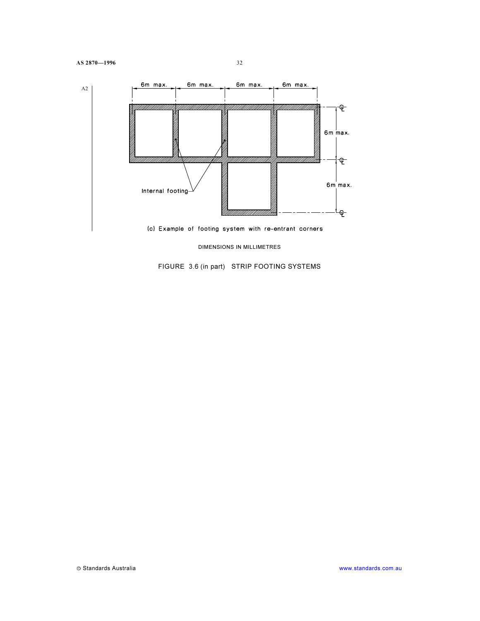

DIMENSIONS IN MILLIMETRES

FIGURE 3.6 (in part) STRIP FOOTING SYSTEMS